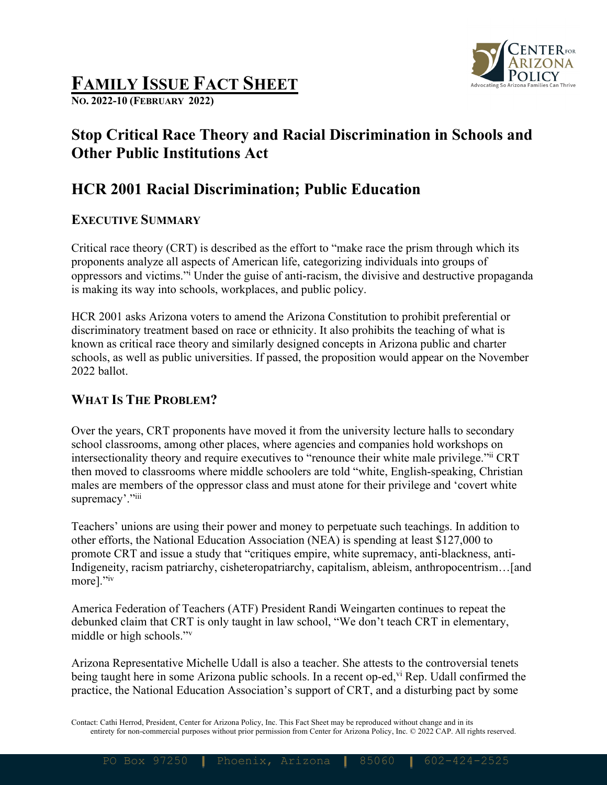

# **FAMILY ISSUE FACT SHEET**

**NO. 2022-10 (FEBRUARY 2022)**

## **Stop Critical Race Theory and Racial Discrimination in Schools and Other Public Institutions Act**

## **HCR 2001 Racial Discrimination; Public Education**

### **EXECUTIVE SUMMARY**

Critical race theory (CRT) is described as the effort to "make race the prism through which its proponents analyze all aspects of American life, categorizing individuals into groups of oppressors and victims."i Under the guise of anti-racism, the divisive and destructive propaganda is making its way into schools, workplaces, and public policy.

HCR 2001 asks Arizona voters to amend the Arizona Constitution to prohibit preferential or discriminatory treatment based on race or ethnicity. It also prohibits the teaching of what is known as critical race theory and similarly designed concepts in Arizona public and charter schools, as well as public universities. If passed, the proposition would appear on the November 2022 ballot.

## **WHAT IS THE PROBLEM?**

Over the years, CRT proponents have moved it from the university lecture halls to secondary school classrooms, among other places, where agencies and companies hold workshops on intersectionality theory and require executives to "renounce their white male privilege."ii CRT then moved to classrooms where middle schoolers are told "white, English-speaking, Christian males are members of the oppressor class and must atone for their privilege and 'covert white supremacy'."iii

Teachers' unions are using their power and money to perpetuate such teachings. In addition to other efforts, the National Education Association (NEA) is spending at least \$127,000 to promote CRT and issue a study that "critiques empire, white supremacy, anti-blackness, anti-Indigeneity, racism patriarchy, cisheteropatriarchy, capitalism, ableism, anthropocentrism…[and more]."iv

America Federation of Teachers (ATF) President Randi Weingarten continues to repeat the debunked claim that CRT is only taught in law school, "We don't teach CRT in elementary, middle or high schools."v

Arizona Representative Michelle Udall is also a teacher. She attests to the controversial tenets being taught here in some Arizona public schools. In a recent op-ed,<sup>vi</sup> Rep. Udall confirmed the practice, the National Education Association's support of CRT, and a disturbing pact by some

Contact: Cathi Herrod, President, Center for Arizona Policy, Inc. This Fact Sheet may be reproduced without change and in its entirety for non-commercial purposes without prior permission from Center for Arizona Policy, Inc. © 2022 CAP. All rights reserved.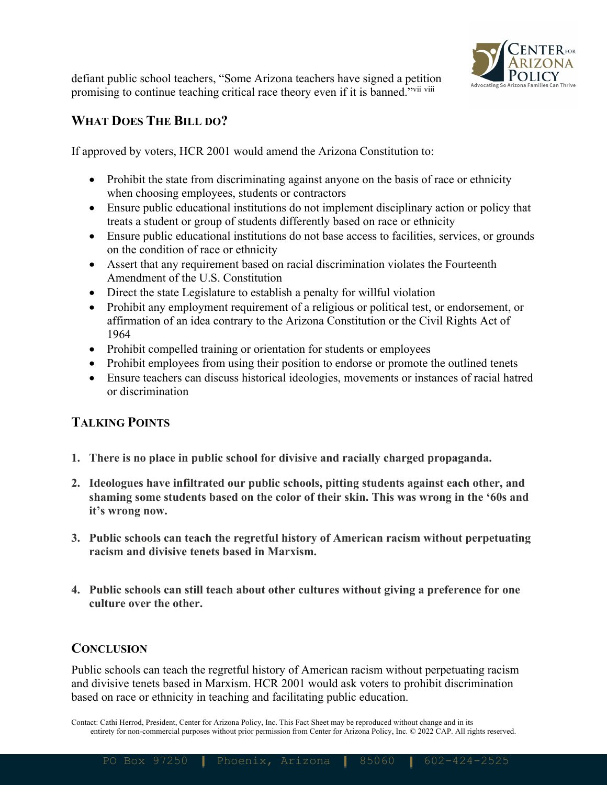

defiant public school teachers, "Some Arizona teachers have signed a petition promising to continue teaching critical race theory even if it is banned."<sup>vii viii</sup>

### **WHAT DOES THE BILL DO?**

If approved by voters, HCR 2001 would amend the Arizona Constitution to:

- Prohibit the state from discriminating against anyone on the basis of race or ethnicity when choosing employees, students or contractors
- Ensure public educational institutions do not implement disciplinary action or policy that treats a student or group of students differently based on race or ethnicity
- Ensure public educational institutions do not base access to facilities, services, or grounds on the condition of race or ethnicity
- Assert that any requirement based on racial discrimination violates the Fourteenth Amendment of the U.S. Constitution
- Direct the state Legislature to establish a penalty for will full violation
- Prohibit any employment requirement of a religious or political test, or endorsement, or affirmation of an idea contrary to the Arizona Constitution or the Civil Rights Act of 1964
- Prohibit compelled training or orientation for students or employees
- Prohibit employees from using their position to endorse or promote the outlined tenets
- Ensure teachers can discuss historical ideologies, movements or instances of racial hatred or discrimination

#### **TALKING POINTS**

- **1. There is no place in public school for divisive and racially charged propaganda.**
- **2. Ideologues have infiltrated our public schools, pitting students against each other, and shaming some students based on the color of their skin. This was wrong in the '60s and it's wrong now.**
- **3. Public schools can teach the regretful history of American racism without perpetuating racism and divisive tenets based in Marxism.**
- **4. Public schools can still teach about other cultures without giving a preference for one culture over the other.**

#### **CONCLUSION**

Public schools can teach the regretful history of American racism without perpetuating racism and divisive tenets based in Marxism. HCR 2001 would ask voters to prohibit discrimination based on race or ethnicity in teaching and facilitating public education.

Contact: Cathi Herrod, President, Center for Arizona Policy, Inc. This Fact Sheet may be reproduced without change and in its entirety for non-commercial purposes without prior permission from Center for Arizona Policy, Inc. © 2022 CAP. All rights reserved.